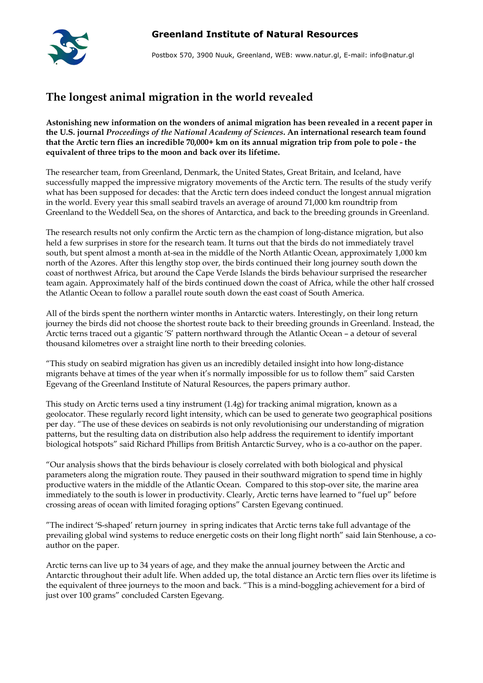

Postbox 570, 3900 Nuuk, Greenland, WEB: www.natur.gl, E-mail: info@natur.gl

## **The longest animal migration in the world revealed**

**Astonishing new information on the wonders of animal migration has been revealed in a recent paper in the U.S. journal** *Proceedings of the National Academy of Sciences***. An international research team found that the Arctic tern flies an incredible 70,000+ km on its annual migration trip from pole to pole - the equivalent of three trips to the moon and back over its lifetime.** 

The researcher team, from Greenland, Denmark, the United States, Great Britain, and Iceland, have successfully mapped the impressive migratory movements of the Arctic tern. The results of the study verify what has been supposed for decades: that the Arctic tern does indeed conduct the longest annual migration in the world. Every year this small seabird travels an average of around 71,000 km roundtrip from Greenland to the Weddell Sea, on the shores of Antarctica, and back to the breeding grounds in Greenland.

The research results not only confirm the Arctic tern as the champion of long-distance migration, but also held a few surprises in store for the research team. It turns out that the birds do not immediately travel south, but spent almost a month at-sea in the middle of the North Atlantic Ocean, approximately 1,000 km north of the Azores. After this lengthy stop over, the birds continued their long journey south down the coast of northwest Africa, but around the Cape Verde Islands the birds behaviour surprised the researcher team again. Approximately half of the birds continued down the coast of Africa, while the other half crossed the Atlantic Ocean to follow a parallel route south down the east coast of South America.

All of the birds spent the northern winter months in Antarctic waters. Interestingly, on their long return journey the birds did not choose the shortest route back to their breeding grounds in Greenland. Instead, the Arctic terns traced out a gigantic 'S' pattern northward through the Atlantic Ocean - a detour of several thousand kilometres over a straight line north to their breeding colonies.

"This study on seabird migration has given us an incredibly detailed insight into how long-distance migrants behave at times of the year when it's normally impossible for us to follow them" said Carsten Egevang of the Greenland Institute of Natural Resources, the papers primary author.

This study on Arctic terns used a tiny instrument (1.4g) for tracking animal migration, known as a geolocator. These regularly record light intensity, which can be used to generate two geographical positions per day. "The use of these devices on seabirds is not only revolutionising our understanding of migration patterns, but the resulting data on distribution also help address the requirement to identify important biological hotspots" said Richard Phillips from British Antarctic Survey, who is a co-author on the paper.

"Our analysis shows that the birds behaviour is closely correlated with both biological and physical parameters along the migration route. They paused in their southward migration to spend time in highly productive waters in the middle of the Atlantic Ocean. Compared to this stop-over site, the marine area immediately to the south is lower in productivity. Clearly, Arctic terns have learned to "fuel up" before crossing areas of ocean with limited foraging options" Carsten Egevang continued.

"The indirect "S-shaped" return journey in spring indicates that Arctic terns take full advantage of the prevailing global wind systems to reduce energetic costs on their long flight north" said Iain Stenhouse, a coauthor on the paper.

Arctic terns can live up to 34 years of age, and they make the annual journey between the Arctic and Antarctic throughout their adult life. When added up, the total distance an Arctic tern flies over its lifetime is the equivalent of three journeys to the moon and back. "This is a mind-boggling achievement for a bird of just over 100 grams" concluded Carsten Egevang.